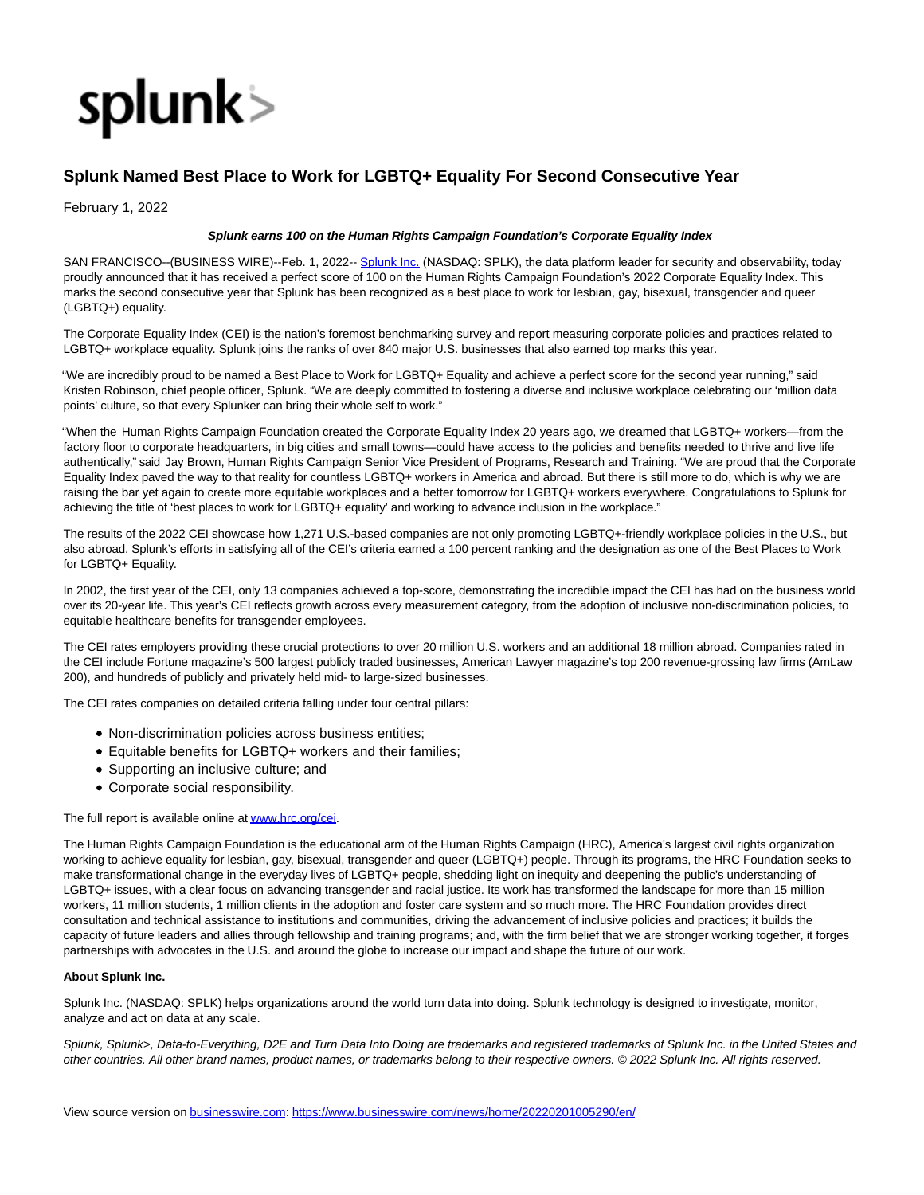

## **Splunk Named Best Place to Work for LGBTQ+ Equality For Second Consecutive Year**

February 1, 2022

## **Splunk earns 100 on the Human Rights Campaign Foundation's Corporate Equality Index**

SAN FRANCISCO--(BUSINESS WIRE)--Feb. 1, 2022-- [Splunk Inc. \(](https://cts.businesswire.com/ct/CT?id=smartlink&url=http%3A%2F%2Fwww.splunk.com%2F&esheet=52571646&newsitemid=20220201005290&lan=en-US&anchor=Splunk+Inc.&index=1&md5=2ca737303e3b459d44b8627e093ab8a2)NASDAQ: SPLK), the data platform leader for security and observability, today proudly announced that it has received a perfect score of 100 on the Human Rights Campaign Foundation's 2022 Corporate Equality Index. This marks the second consecutive year that Splunk has been recognized as a best place to work for lesbian, gay, bisexual, transgender and queer (LGBTQ+) equality.

The Corporate Equality Index (CEI) is the nation's foremost benchmarking survey and report measuring corporate policies and practices related to LGBTQ+ workplace equality. Splunk joins the ranks of over 840 major U.S. businesses that also earned top marks this year.

"We are incredibly proud to be named a Best Place to Work for LGBTQ+ Equality and achieve a perfect score for the second year running," said Kristen Robinson, chief people officer, Splunk. "We are deeply committed to fostering a diverse and inclusive workplace celebrating our 'million data points' culture, so that every Splunker can bring their whole self to work."

"When the Human Rights Campaign Foundation created the Corporate Equality Index 20 years ago, we dreamed that LGBTQ+ workers—from the factory floor to corporate headquarters, in big cities and small towns—could have access to the policies and benefits needed to thrive and live life authentically," said Jay Brown, Human Rights Campaign Senior Vice President of Programs, Research and Training. "We are proud that the Corporate Equality Index paved the way to that reality for countless LGBTQ+ workers in America and abroad. But there is still more to do, which is why we are raising the bar yet again to create more equitable workplaces and a better tomorrow for LGBTQ+ workers everywhere. Congratulations to Splunk for achieving the title of 'best places to work for LGBTQ+ equality' and working to advance inclusion in the workplace."

The results of the 2022 CEI showcase how 1,271 U.S.-based companies are not only promoting LGBTQ+-friendly workplace policies in the U.S., but also abroad. Splunk's efforts in satisfying all of the CEI's criteria earned a 100 percent ranking and the designation as one of the Best Places to Work for LGBTQ+ Equality.

In 2002, the first year of the CEI, only 13 companies achieved a top-score, demonstrating the incredible impact the CEI has had on the business world over its 20-year life. This year's CEI reflects growth across every measurement category, from the adoption of inclusive non-discrimination policies, to equitable healthcare benefits for transgender employees.

The CEI rates employers providing these crucial protections to over 20 million U.S. workers and an additional 18 million abroad. Companies rated in the CEI include Fortune magazine's 500 largest publicly traded businesses, American Lawyer magazine's top 200 revenue-grossing law firms (AmLaw 200), and hundreds of publicly and privately held mid- to large-sized businesses.

The CEI rates companies on detailed criteria falling under four central pillars:

- Non-discrimination policies across business entities;
- Equitable benefits for LGBTQ+ workers and their families;
- Supporting an inclusive culture; and
- Corporate social responsibility.

## The full report is available online a[t www.hrc.org/cei.](https://cts.businesswire.com/ct/CT?id=smartlink&url=http%3A%2F%2Fwww.hrc.org%2Fcei&esheet=52571646&newsitemid=20220201005290&lan=en-US&anchor=www.hrc.org%2Fcei&index=2&md5=71b1cccba7ee51a88c5ac8095a9af56e)

The Human Rights Campaign Foundation is the educational arm of the Human Rights Campaign (HRC), America's largest civil rights organization working to achieve equality for lesbian, gay, bisexual, transgender and queer (LGBTQ+) people. Through its programs, the HRC Foundation seeks to make transformational change in the everyday lives of LGBTQ+ people, shedding light on inequity and deepening the public's understanding of LGBTQ+ issues, with a clear focus on advancing transgender and racial justice. Its work has transformed the landscape for more than 15 million workers, 11 million students, 1 million clients in the adoption and foster care system and so much more. The HRC Foundation provides direct consultation and technical assistance to institutions and communities, driving the advancement of inclusive policies and practices; it builds the capacity of future leaders and allies through fellowship and training programs; and, with the firm belief that we are stronger working together, it forges partnerships with advocates in the U.S. and around the globe to increase our impact and shape the future of our work.

## **About Splunk Inc.**

Splunk Inc. (NASDAQ: SPLK) helps organizations around the world turn data into doing. Splunk technology is designed to investigate, monitor, analyze and act on data at any scale.

Splunk, Splunk>, Data-to-Everything, D2E and Turn Data Into Doing are trademarks and registered trademarks of Splunk Inc. in the United States and other countries. All other brand names, product names, or trademarks belong to their respective owners. © 2022 Splunk Inc. All rights reserved.